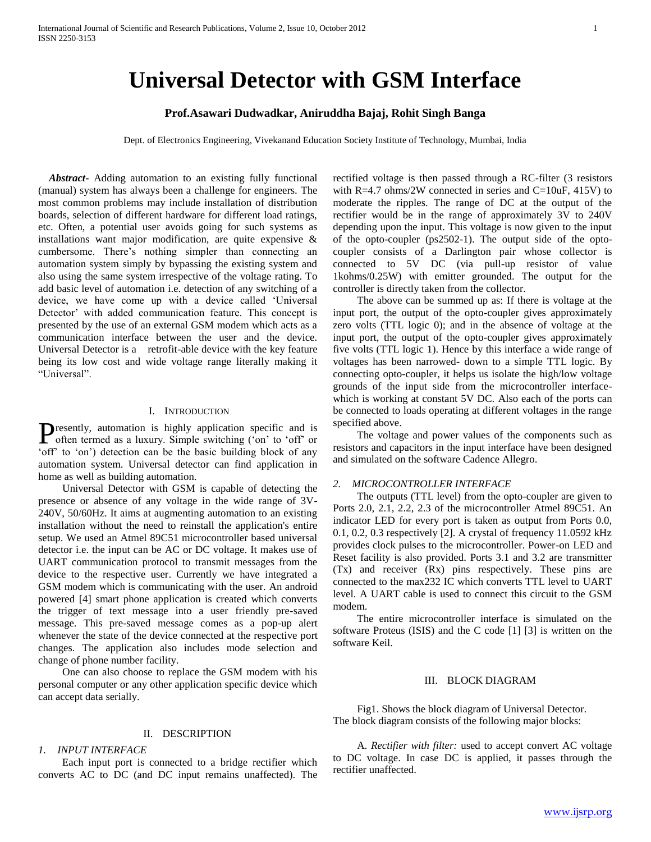# **Universal Detector with GSM Interface**

# **Prof.Asawari Dudwadkar, Aniruddha Bajaj, Rohit Singh Banga**

Dept. of Electronics Engineering, Vivekanand Education Society Institute of Technology, Mumbai, India

 *Abstract***-** Adding automation to an existing fully functional (manual) system has always been a challenge for engineers. The most common problems may include installation of distribution boards, selection of different hardware for different load ratings, etc. Often, a potential user avoids going for such systems as installations want major modification, are quite expensive & cumbersome. There"s nothing simpler than connecting an automation system simply by bypassing the existing system and also using the same system irrespective of the voltage rating. To add basic level of automation i.e. detection of any switching of a device, we have come up with a device called "Universal Detector' with added communication feature. This concept is presented by the use of an external GSM modem which acts as a communication interface between the user and the device. Universal Detector is a retrofit-able device with the key feature being its low cost and wide voltage range literally making it "Universal".

## I. INTRODUCTION

resently, automation is highly application specific and is **P**resently, automation is highly application specific and is often termed as a luxury. Simple switching ('on' to 'off' or "off" to "on") detection can be the basic building block of any automation system. Universal detector can find application in home as well as building automation.

 Universal Detector with GSM is capable of detecting the presence or absence of any voltage in the wide range of 3V-240V, 50/60Hz. It aims at augmenting automation to an existing installation without the need to reinstall the application's entire setup. We used an Atmel 89C51 microcontroller based universal detector i.e. the input can be AC or DC voltage. It makes use of UART communication protocol to transmit messages from the device to the respective user. Currently we have integrated a GSM modem which is communicating with the user. An android powered [4] smart phone application is created which converts the trigger of text message into a user friendly pre-saved message. This pre-saved message comes as a pop-up alert whenever the state of the device connected at the respective port changes. The application also includes mode selection and change of phone number facility.

 One can also choose to replace the GSM modem with his personal computer or any other application specific device which can accept data serially.

#### II. DESCRIPTION

## *1. INPUT INTERFACE*

 Each input port is connected to a bridge rectifier which converts AC to DC (and DC input remains unaffected). The rectified voltage is then passed through a RC-filter (3 resistors with  $R=4.7$  ohms/2W connected in series and  $C=10uF$ , 415V) to moderate the ripples. The range of DC at the output of the rectifier would be in the range of approximately 3V to 240V depending upon the input. This voltage is now given to the input of the opto-coupler (ps2502-1). The output side of the optocoupler consists of a Darlington pair whose collector is connected to 5V DC (via pull-up resistor of value 1kohms/0.25W) with emitter grounded. The output for the controller is directly taken from the collector.

 The above can be summed up as: If there is voltage at the input port, the output of the opto-coupler gives approximately zero volts (TTL logic 0); and in the absence of voltage at the input port, the output of the opto-coupler gives approximately five volts (TTL logic 1). Hence by this interface a wide range of voltages has been narrowed- down to a simple TTL logic. By connecting opto-coupler, it helps us isolate the high/low voltage grounds of the input side from the microcontroller interfacewhich is working at constant 5V DC. Also each of the ports can be connected to loads operating at different voltages in the range specified above.

 The voltage and power values of the components such as resistors and capacitors in the input interface have been designed and simulated on the software Cadence Allegro.

## *2. MICROCONTROLLER INTERFACE*

 The outputs (TTL level) from the opto-coupler are given to Ports 2.0, 2.1, 2.2, 2.3 of the microcontroller Atmel 89C51. An indicator LED for every port is taken as output from Ports 0.0, 0.1, 0.2, 0.3 respectively [2]. A crystal of frequency 11.0592 kHz provides clock pulses to the microcontroller. Power-on LED and Reset facility is also provided. Ports 3.1 and 3.2 are transmitter (Tx) and receiver (Rx) pins respectively. These pins are connected to the max232 IC which converts TTL level to UART level. A UART cable is used to connect this circuit to the GSM modem.

 The entire microcontroller interface is simulated on the software Proteus (ISIS) and the C code [1] [3] is written on the software Keil.

#### III. BLOCK DIAGRAM

 Fig1. Shows the block diagram of Universal Detector. The block diagram consists of the following major blocks:

 A. *Rectifier with filter:* used to accept convert AC voltage to DC voltage. In case DC is applied, it passes through the rectifier unaffected.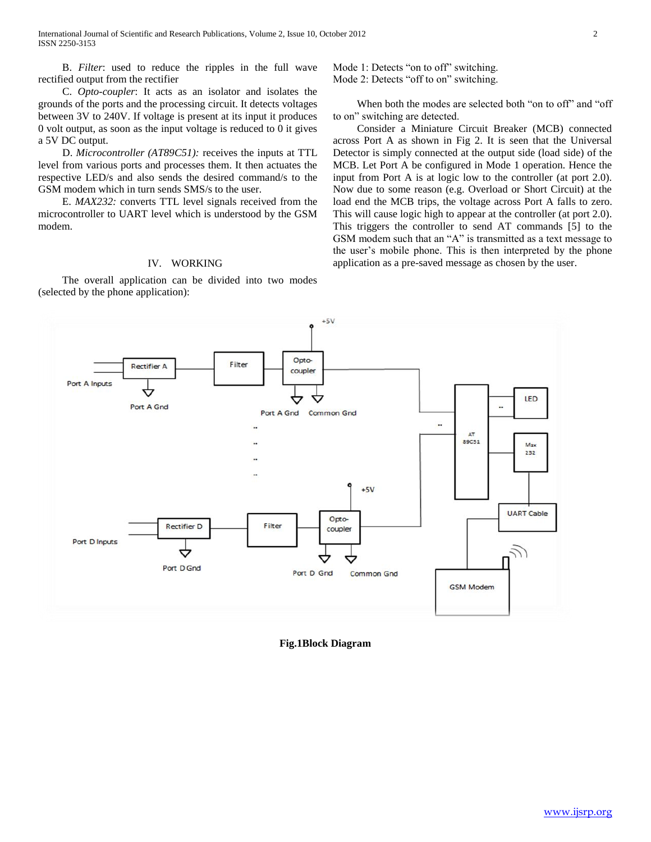B. *Filter*: used to reduce the ripples in the full wave rectified output from the rectifier

 C. *Opto-coupler*: It acts as an isolator and isolates the grounds of the ports and the processing circuit. It detects voltages between 3V to 240V. If voltage is present at its input it produces 0 volt output, as soon as the input voltage is reduced to 0 it gives a 5V DC output.

 D. *Microcontroller (AT89C51):* receives the inputs at TTL level from various ports and processes them. It then actuates the respective LED/s and also sends the desired command/s to the GSM modem which in turn sends SMS/s to the user.

 E. *MAX232:* converts TTL level signals received from the microcontroller to UART level which is understood by the GSM modem.

## IV. WORKING

 The overall application can be divided into two modes (selected by the phone application):

Mode 1: Detects "on to off" switching. Mode 2: Detects "off to on" switching.

 When both the modes are selected both "on to off" and "off to on" switching are detected.

 Consider a Miniature Circuit Breaker (MCB) connected across Port A as shown in Fig 2. It is seen that the Universal Detector is simply connected at the output side (load side) of the MCB. Let Port A be configured in Mode 1 operation. Hence the input from Port A is at logic low to the controller (at port 2.0). Now due to some reason (e.g. Overload or Short Circuit) at the load end the MCB trips, the voltage across Port A falls to zero. This will cause logic high to appear at the controller (at port 2.0). This triggers the controller to send AT commands [5] to the GSM modem such that an "A" is transmitted as a text message to the user's mobile phone. This is then interpreted by the phone application as a pre-saved message as chosen by the user.



## **Fig.1Block Diagram**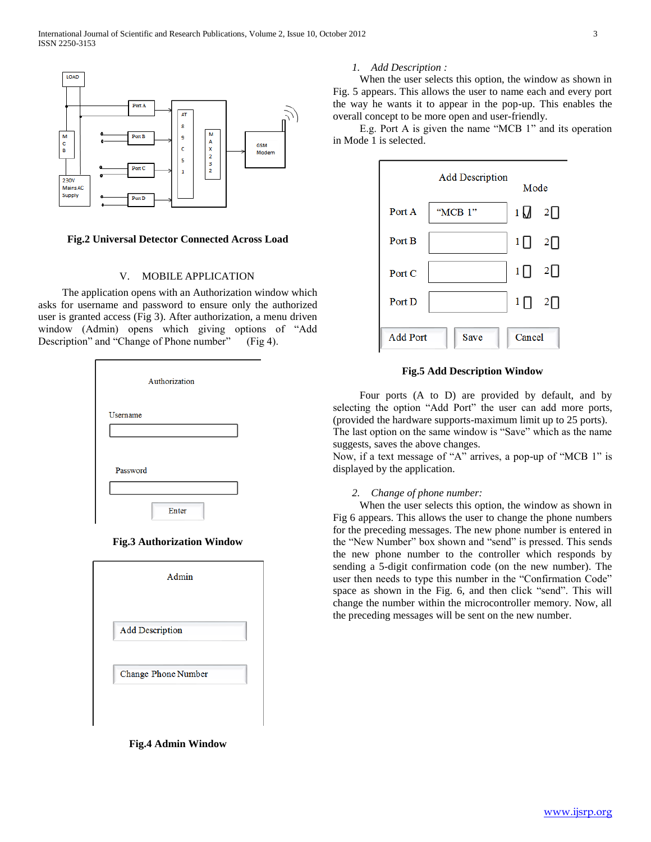

## **Fig.2 Universal Detector Connected Across Load**

## V. MOBILE APPLICATION

 The application opens with an Authorization window which asks for username and password to ensure only the authorized user is granted access (Fig 3). After authorization, a menu driven window (Admin) opens which giving options of "Add Description" and "Change of Phone number" (Fig 4).

|          | Authorization |  |
|----------|---------------|--|
| Username |               |  |
|          |               |  |
| Password |               |  |
|          |               |  |
|          | Enter         |  |

## **Fig.3 Authorization Window**

| Admin                  |
|------------------------|
|                        |
| <b>Add Description</b> |
| Change Phone Number    |
|                        |
|                        |

**Fig.4 Admin Window**

#### *1. Add Description :*

 When the user selects this option, the window as shown in Fig. 5 appears. This allows the user to name each and every port the way he wants it to appear in the pop-up. This enables the overall concept to be more open and user-friendly.

 E.g. Port A is given the name "MCB 1" and its operation in Mode 1 is selected.



## **Fig.5 Add Description Window**

 Four ports (A to D) are provided by default, and by selecting the option "Add Port" the user can add more ports, (provided the hardware supports-maximum limit up to 25 ports). The last option on the same window is "Save" which as the name suggests, saves the above changes.

Now, if a text message of "A" arrives, a pop-up of "MCB 1" is displayed by the application.

## *2. Change of phone number:*

 When the user selects this option, the window as shown in Fig 6 appears. This allows the user to change the phone numbers for the preceding messages. The new phone number is entered in the "New Number" box shown and "send" is pressed. This sends the new phone number to the controller which responds by sending a 5-digit confirmation code (on the new number). The user then needs to type this number in the "Confirmation Code" space as shown in the Fig. 6, and then click "send". This will change the number within the microcontroller memory. Now, all the preceding messages will be sent on the new number.